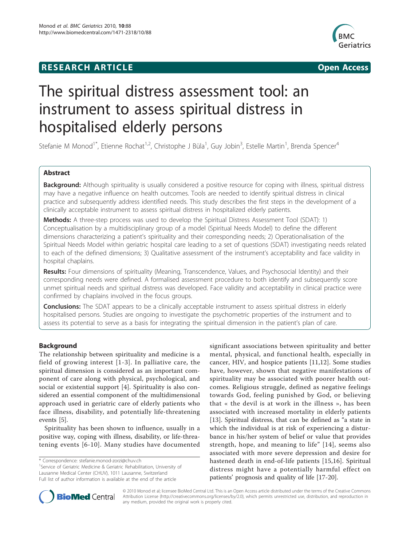## **RESEARCH ARTICLE Example 2014 CONSUMING ACCESS**



# The spiritual distress assessment tool: an instrument to assess spiritual distress in hospitalised elderly persons

Stefanie M Monod<sup>1\*</sup>, Etienne Rochat<sup>1,2</sup>, Christophe J Büla<sup>1</sup>, Guy Jobin<sup>3</sup>, Estelle Martin<sup>1</sup>, Brenda Spencer<sup>4</sup>

## Abstract

**Background:** Although spirituality is usually considered a positive resource for coping with illness, spiritual distress may have a negative influence on health outcomes. Tools are needed to identify spiritual distress in clinical practice and subsequently address identified needs. This study describes the first steps in the development of a clinically acceptable instrument to assess spiritual distress in hospitalized elderly patients.

**Methods:** A three-step process was used to develop the Spiritual Distress Assessment Tool (SDAT): 1) Conceptualisation by a multidisciplinary group of a model (Spiritual Needs Model) to define the different dimensions characterizing a patient's spirituality and their corresponding needs; 2) Operationalisation of the Spiritual Needs Model within geriatric hospital care leading to a set of questions (SDAT) investigating needs related to each of the defined dimensions; 3) Qualitative assessment of the instrument's acceptability and face validity in hospital chaplains.

Results: Four dimensions of spirituality (Meaning, Transcendence, Values, and Psychosocial Identity) and their corresponding needs were defined. A formalised assessment procedure to both identify and subsequently score unmet spiritual needs and spiritual distress was developed. Face validity and acceptability in clinical practice were confirmed by chaplains involved in the focus groups.

**Conclusions:** The SDAT appears to be a clinically acceptable instrument to assess spiritual distress in elderly hospitalised persons. Studies are ongoing to investigate the psychometric properties of the instrument and to assess its potential to serve as a basis for integrating the spiritual dimension in the patient's plan of care.

## **Background**

The relationship between spirituality and medicine is a field of growing interest [[1](#page-7-0)-[3](#page-7-0)]. In palliative care, the spiritual dimension is considered as an important component of care along with physical, psychological, and social or existential support [[4\]](#page-7-0). Spirituality is also considered an essential component of the multidimensional approach used in geriatric care of elderly patients who face illness, disability, and potentially life-threatening events [[5](#page-7-0)].

Spirituality has been shown to influence, usually in a positive way, coping with illness, disability, or life-threatening events [\[6-10\]](#page-7-0). Many studies have documented

\* Correspondence: [stefanie.monod-zorzi@chuv.ch](mailto:stefanie.monod-zorzi@chuv.ch)

<sup>1</sup>Service of Geriatric Medicine & Geriatric Rehabilitation, University of Lausanne Medical Center (CHUV), 1011 Lausanne, Switzerland Full list of author information is available at the end of the article

significant associations between spirituality and better mental, physical, and functional health, especially in cancer, HIV, and hospice patients [[11,12\]](#page-7-0). Some studies have, however, shown that negative manifestations of spirituality may be associated with poorer health outcomes. Religious struggle, defined as negative feelings towards God, feeling punished by God, or believing that « the devil is at work in the illness », has been associated with increased mortality in elderly patients [[13\]](#page-7-0). Spiritual distress, that can be defined as "a state in which the individual is at risk of experiencing a disturbance in his/her system of belief or value that provides strength, hope, and meaning to life" [[14](#page-7-0)], seems also associated with more severe depression and desire for hastened death in end-of-life patients [\[15](#page-7-0),[16\]](#page-7-0). Spiritual distress might have a potentially harmful effect on patients' prognosis and quality of life [\[17-20](#page-7-0)].



© 2010 Monod et al; licensee BioMed Central Ltd. This is an Open Access article distributed under the terms of the Creative Commons Attribution License [\(http://creativecommons.org/licenses/by/2.0](http://creativecommons.org/licenses/by/2.0)), which permits unrestricted use, distribution, and reproduction in any medium, provided the original work is properly cited.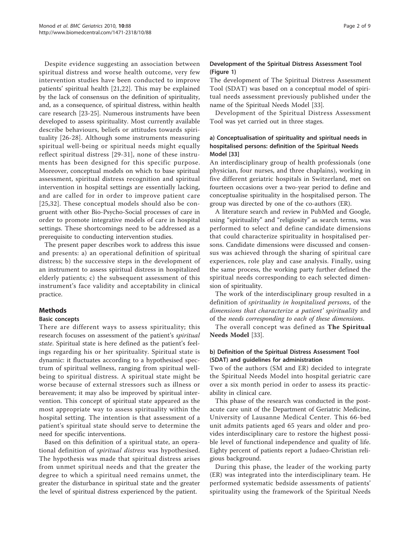Despite evidence suggesting an association between spiritual distress and worse health outcome, very few intervention studies have been conducted to improve patients' spiritual health [\[21](#page-7-0),[22\]](#page-7-0). This may be explained by the lack of consensus on the definition of spirituality, and, as a consequence, of spiritual distress, within health care research [[23-25](#page-7-0)]. Numerous instruments have been developed to assess spirituality. Most currently available describe behaviours, beliefs or attitudes towards spirituality [\[26-28](#page-7-0)]. Although some instruments measuring spiritual well-being or spiritual needs might equally reflect spiritual distress [\[29-](#page-7-0)[31\]](#page-8-0), none of these instruments has been designed for this specific purpose. Moreover, conceptual models on which to base spiritual assessment, spiritual distress recognition and spiritual intervention in hospital settings are essentially lacking, and are called for in order to improve patient care [[25](#page-7-0),[32\]](#page-8-0). These conceptual models should also be congruent with other Bio-Psycho-Social processes of care in order to promote integrative models of care in hospital settings. These shortcomings need to be addressed as a prerequisite to conducting intervention studies.

The present paper describes work to address this issue and presents: a) an operational definition of spiritual distress; b) the successive steps in the development of an instrument to assess spiritual distress in hospitalized elderly patients; c) the subsequent assessment of this instrument's face validity and acceptability in clinical practice.

#### Methods

#### Basic concepts

There are different ways to assess spirituality; this research focuses on assessment of the patient's spiritual state. Spiritual state is here defined as the patient's feelings regarding his or her spirituality. Spiritual state is dynamic: it fluctuates according to a hypothesised spectrum of spiritual wellness, ranging from spiritual wellbeing to spiritual distress. A spiritual state might be worse because of external stressors such as illness or bereavement; it may also be improved by spiritual intervention. This concept of spiritual state appeared as the most appropriate way to assess spirituality within the hospital setting. The intention is that assessment of a patient's spiritual state should serve to determine the need for specific interventions.

Based on this definition of a spiritual state, an operational definition of spiritual distress was hypothesised. The hypothesis was made that spiritual distress arises from unmet spiritual needs and that the greater the degree to which a spiritual need remains unmet, the greater the disturbance in spiritual state and the greater the level of spiritual distress experienced by the patient.

#### Development of the Spiritual Distress Assessment Tool (Figure [1](#page-2-0))

The development of The Spiritual Distress Assessment Tool (SDAT) was based on a conceptual model of spiritual needs assessment previously published under the name of the Spiritual Needs Model [\[33\]](#page-8-0).

Development of the Spiritual Distress Assessment Tool was yet carried out in three stages.

### a) Conceptualisation of spirituality and spiritual needs in hospitalised persons: definition of the Spiritual Needs Model [\[33](#page-8-0)]

An interdisciplinary group of health professionals (one physician, four nurses, and three chaplains), working in five different geriatric hospitals in Switzerland, met on fourteen occasions over a two-year period to define and conceptualise spirituality in the hospitalised person. The group was directed by one of the co-authors (ER).

A literature search and review in PubMed and Google, using "spirituality" and "religiosity" as search terms, was performed to select and define candidate dimensions that could characterize spirituality in hospitalised persons. Candidate dimensions were discussed and consensus was achieved through the sharing of spiritual care experiences, role play and case analysis. Finally, using the same process, the working party further defined the spiritual needs corresponding to each selected dimension of spirituality.

The work of the interdisciplinary group resulted in a definition of spirituality in hospitalised persons, of the dimensions that characterize a patient' spirituality and of the needs corresponding to each of these dimensions.

The overall concept was defined as The Spiritual Needs Model [\[33](#page-8-0)].

## b) Definition of the Spiritual Distress Assessment Tool (SDAT) and guidelines for administration

Two of the authors (SM and ER) decided to integrate the Spiritual Needs Model into hospital geriatric care over a six month period in order to assess its practicability in clinical care.

This phase of the research was conducted in the postacute care unit of the Department of Geriatric Medicine, University of Lausanne Medical Center. This 66-bed unit admits patients aged 65 years and older and provides interdisciplinary care to restore the highest possible level of functional independence and quality of life. Eighty percent of patients report a Judaeo-Christian religious background.

During this phase, the leader of the working party (ER) was integrated into the interdisciplinary team. He performed systematic bedside assessments of patients' spirituality using the framework of the Spiritual Needs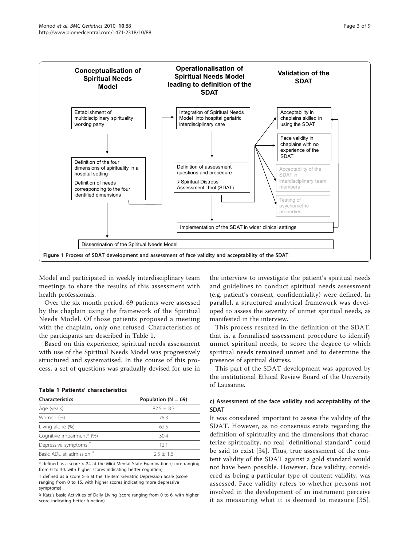<span id="page-2-0"></span>

Model and participated in weekly interdisciplinary team meetings to share the results of this assessment with health professionals.

Over the six month period, 69 patients were assessed by the chaplain using the framework of the Spiritual Needs Model. Of those patients proposed a meeting with the chaplain, only one refused. Characteristics of the participants are described in Table 1.

Based on this experience, spiritual needs assessment with use of the Spiritual Needs Model was progressively structured and systematised. In the course of this process, a set of questions was gradually devised for use in

#### Table 1 Patients' characteristics

| <b>Characteristics</b>              | Population ( $N = 69$ ) |
|-------------------------------------|-------------------------|
| Age (years)                         | $82.5 + 8.3$            |
| Women (%)                           | 78.3                    |
| Living alone (%)                    | 62.5                    |
| Cognitive impairment* (%)           | 30.4                    |
| Depressive symptoms <sup>+</sup>    | 121                     |
| Basic ADI at admission <sup>*</sup> | $75 + 16$               |

\* defined as a score < 24 at the Mini Mental State Examination (score ranging from 0 to 30, with higher scores indicating better cognition)

† defined as a score ≥ 6 at the 15-item Geriatric Depression Scale (score ranging from 0 to 15, with higher scores indicating more depressive symptoms)

¥ Katz's basic Activities of Daily Living (score ranging from 0 to 6, with higher score indicating better function)

the interview to investigate the patient's spiritual needs and guidelines to conduct spiritual needs assessment (e.g. patient's consent, confidentiality) were defined. In parallel, a structured analytical framework was developed to assess the severity of unmet spiritual needs, as manifested in the interview.

This process resulted in the definition of the SDAT, that is, a formalised assessment procedure to identify unmet spiritual needs, to score the degree to which spiritual needs remained unmet and to determine the presence of spiritual distress.

This part of the SDAT development was approved by the institutional Ethical Review Board of the University of Lausanne.

#### c) Assessment of the face validity and acceptability of the SDAT

It was considered important to assess the validity of the SDAT. However, as no consensus exists regarding the definition of spirituality and the dimensions that characterize spirituality, no real "definitional standard" could be said to exist [[34\]](#page-8-0). Thus, true assessment of the content validity of the SDAT against a gold standard would not have been possible. However, face validity, considered as being a particular type of content validity, was assessed. Face validity refers to whether persons not involved in the development of an instrument perceive it as measuring what it is deemed to measure [[35\]](#page-8-0).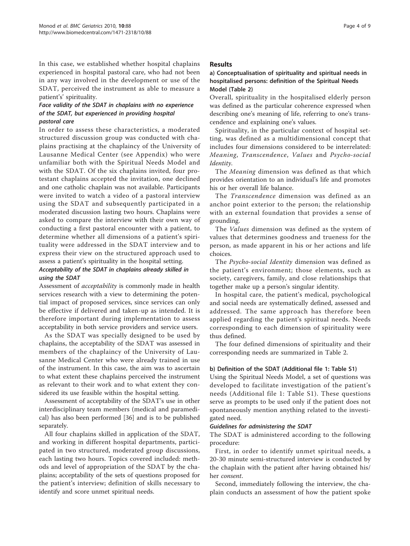In this case, we established whether hospital chaplains experienced in hospital pastoral care, who had not been in any way involved in the development or use of the SDAT, perceived the instrument as able to measure a patient's' spirituality.

#### Face validity of the SDAT in chaplains with no experience of the SDAT, but experienced in providing hospital pastoral care

In order to assess these characteristics, a moderated structured discussion group was conducted with chaplains practising at the chaplaincy of the University of Lausanne Medical Center (see Appendix) who were unfamiliar both with the Spiritual Needs Model and with the SDAT. Of the six chaplains invited, four protestant chaplains accepted the invitation, one declined and one catholic chaplain was not available. Participants were invited to watch a video of a pastoral interview using the SDAT and subsequently participated in a moderated discussion lasting two hours. Chaplains were asked to compare the interview with their own way of conducting a first pastoral encounter with a patient, to determine whether all dimensions of a patient's spirituality were addressed in the SDAT interview and to express their view on the structured approach used to assess a patient's spirituality in the hospital setting.

## Acceptability of the SDAT in chaplains already skilled in using the SDAT

Assessment of acceptability is commonly made in health services research with a view to determining the potential impact of proposed services, since services can only be effective if delivered and taken-up as intended. It is therefore important during implementation to assess acceptability in both service providers and service users.

As the SDAT was specially designed to be used by chaplains, the acceptability of the SDAT was assessed in members of the chaplaincy of the University of Lausanne Medical Center who were already trained in use of the instrument. In this case, the aim was to ascertain to what extent these chaplains perceived the instrument as relevant to their work and to what extent they considered its use feasible within the hospital setting.

Assessment of acceptability of the SDAT's use in other interdisciplinary team members (medical and paramedical) has also been performed [\[36](#page-8-0)] and is to be published separately.

All four chaplains skilled in application of the SDAT, and working in different hospital departments, participated in two structured, moderated group discussions, each lasting two hours. Topics covered included: methods and level of appropriation of the SDAT by the chaplains; acceptability of the sets of questions proposed for the patient's interview; definition of skills necessary to identify and score unmet spiritual needs.

#### **Results**

#### a) Conceptualisation of spirituality and spiritual needs in hospitalised persons: definition of the Spiritual Needs Model (Table [2\)](#page-4-0)

Overall, spirituality in the hospitalised elderly person was defined as the particular coherence expressed when describing one's meaning of life, referring to one's transcendence and explaining one's values.

Spirituality, in the particular context of hospital setting, was defined as a multidimensional concept that includes four dimensions considered to be interrelated: Meaning, Transcendence, Values and Psycho-social Identity.

The Meaning dimension was defined as that which provides orientation to an individual's life and promotes his or her overall life balance.

The Transcendence dimension was defined as an anchor point exterior to the person; the relationship with an external foundation that provides a sense of grounding.

The Values dimension was defined as the system of values that determines goodness and trueness for the person, as made apparent in his or her actions and life choices.

The Psycho-social Identity dimension was defined as the patient's environment; those elements, such as society, caregivers, family, and close relationships that together make up a person's singular identity.

In hospital care, the patient's medical, psychological and social needs are systematically defined, assessed and addressed. The same approach has therefore been applied regarding the patient's spiritual needs. Needs corresponding to each dimension of spirituality were thus defined.

The four defined dimensions of spirituality and their corresponding needs are summarized in Table [2.](#page-4-0)

#### b) Definition of the SDAT (Additional file [1:](#page-7-0) Table S1)

Using the Spiritual Needs Model, a set of questions was developed to facilitate investigation of the patient's needs (Additional file [1](#page-7-0): Table S1). These questions serve as prompts to be used only if the patient does not spontaneously mention anything related to the investigated need.

#### Guidelines for administering the SDAT

The SDAT is administered according to the following procedure:

First, in order to identify unmet spiritual needs, a 20-30 minute semi-structured interview is conducted by the chaplain with the patient after having obtained his/ her consent.

Second, immediately following the interview, the chaplain conducts an assessment of how the patient spoke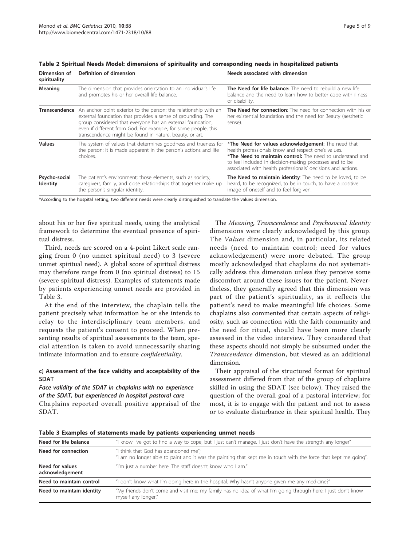| Dimension of<br>spirituality | Definition of dimension                                                                                                                                                                                                                                                                                                    | Needs associated with dimension                                                                                                                                                                                                                                                                    |  |  |  |
|------------------------------|----------------------------------------------------------------------------------------------------------------------------------------------------------------------------------------------------------------------------------------------------------------------------------------------------------------------------|----------------------------------------------------------------------------------------------------------------------------------------------------------------------------------------------------------------------------------------------------------------------------------------------------|--|--|--|
| Meaning                      | The dimension that provides orientation to an individual's life<br>and promotes his or her overall life balance.                                                                                                                                                                                                           | <b>The Need for life balance:</b> The need to rebuild a new life<br>balance and the need to learn how to better cope with illness<br>or disability.                                                                                                                                                |  |  |  |
| <b>Transcendence</b>         | An anchor point exterior to the person; the relationship with an<br>external foundation that provides a sense of grounding. The<br>group considered that everyone has an external foundation,<br>even if different from God. For example, for some people, this<br>transcendence might be found in nature, beauty, or art. | <b>The Need for connection:</b> The need for connection with his or<br>her existential foundation and the need for Beauty (aesthetic<br>sense).                                                                                                                                                    |  |  |  |
| <b>Values</b>                | The system of values that determines goodness and trueness for<br>the person; it is made apparent in the person's actions and life<br>choices.                                                                                                                                                                             | *The Need for values acknowledgement: The need that<br>health professionals know and respect one's values.<br>*The Need to maintain control: The need to understand and<br>to feel included in decision-making processes and to be<br>associated with health professionals' decisions and actions. |  |  |  |
| Psycho-social<br>Identity    | The patient's environment; those elements, such as society,<br>caregivers, family, and close relationships that together make up<br>the person's singular identity.                                                                                                                                                        | The Need to maintain identity: The need to be loved, to be<br>heard, to be recognized, to be in touch, to have a positive<br>image of oneself and to feel forgiven.                                                                                                                                |  |  |  |

<span id="page-4-0"></span>Table 2 Spiritual Needs Model: dimensions of spirituality and corresponding needs in hospitalized patients

\*According to the hospital setting, two different needs were clearly distinguished to translate the values dimension.

about his or her five spiritual needs, using the analytical framework to determine the eventual presence of spiritual distress.

Third, needs are scored on a 4-point Likert scale ranging from 0 (no unmet spiritual need) to 3 (severe unmet spiritual need). A global score of spiritual distress may therefore range from 0 (no spiritual distress) to 15 (severe spiritual distress). Examples of statements made by patients experiencing unmet needs are provided in Table 3.

At the end of the interview, the chaplain tells the patient precisely what information he or she intends to relay to the interdisciplinary team members, and requests the patient's consent to proceed. When presenting results of spiritual assessments to the team, special attention is taken to avoid unnecessarily sharing intimate information and to ensure confidentiality.

## c) Assessment of the face validity and acceptability of the SDAT

Face validity of the SDAT in chaplains with no experience of the SDAT, but experienced in hospital pastoral care Chaplains reported overall positive appraisal of the SDAT.

The Meaning, Transcendence and Psychosocial Identity dimensions were clearly acknowledged by this group. The Values dimension and, in particular, its related needs (need to maintain control; need for values acknowledgement) were more debated. The group mostly acknowledged that chaplains do not systematically address this dimension unless they perceive some discomfort around these issues for the patient. Nevertheless, they generally agreed that this dimension was part of the patient's spirituality, as it reflects the patient's need to make meaningful life choices. Some chaplains also commented that certain aspects of religiosity, such as connection with the faith community and the need for ritual, should have been more clearly assessed in the video interview. They considered that these aspects should not simply be subsumed under the Transcendence dimension, but viewed as an additional dimension.

Their appraisal of the structured format for spiritual assessment differed from that of the group of chaplains skilled in using the SDAT (see below). They raised the question of the overall goal of a pastoral interview; for most, it is to engage with the patient and not to assess or to evaluate disturbance in their spiritual health. They

|  |  |  |  | Table 3 Examples of statements made by patients experiencing unmet needs |  |
|--|--|--|--|--------------------------------------------------------------------------|--|
|  |  |  |  |                                                                          |  |

| Need for life balance              | "I know I've got to find a way to cope, but I just can't manage. I just don't have the strength any longer"                                             |
|------------------------------------|---------------------------------------------------------------------------------------------------------------------------------------------------------|
| Need for connection                | "I think that God has abandoned me";<br>"I am no longer able to paint and it was the painting that kept me in touch with the force that kept me going". |
| Need for values<br>acknowledgement | "I'm just a number here. The staff doesn't know who I am."                                                                                              |
| Need to maintain control           | "I don't know what I'm doing here in the hospital. Why hasn't anyone given me any medicine?"                                                            |
| Need to maintain identity          | "My friends don't come and visit me; my family has no idea of what I'm going through here; I just don't know<br>myself any longer."                     |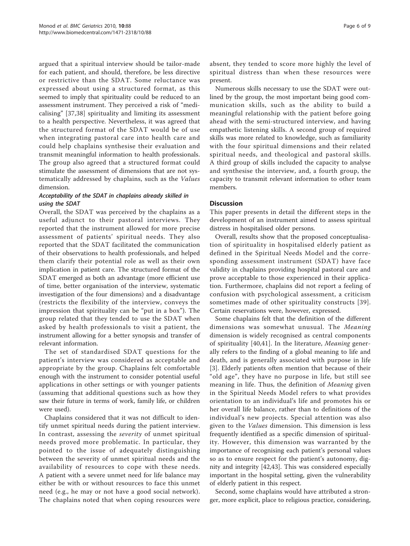argued that a spiritual interview should be tailor-made for each patient, and should, therefore, be less directive or restrictive than the SDAT. Some reluctance was expressed about using a structured format, as this seemed to imply that spirituality could be reduced to an assessment instrument. They perceived a risk of "medicalising" [[37,38\]](#page-8-0) spirituality and limiting its assessment to a health perspective. Nevertheless, it was agreed that the structured format of the SDAT would be of use when integrating pastoral care into health care and could help chaplains synthesise their evaluation and transmit meaningful information to health professionals. The group also agreed that a structured format could stimulate the assessment of dimensions that are not systematically addressed by chaplains, such as the Values dimension.

#### Acceptability of the SDAT in chaplains already skilled in using the SDAT

Overall, the SDAT was perceived by the chaplains as a useful adjunct to their pastoral interviews. They reported that the instrument allowed for more precise assessment of patients' spiritual needs. They also reported that the SDAT facilitated the communication of their observations to health professionals, and helped them clarify their potential role as well as their own implication in patient care. The structured format of the SDAT emerged as both an advantage (more efficient use of time, better organisation of the interview, systematic investigation of the four dimensions) and a disadvantage (restricts the flexibility of the interview, conveys the impression that spirituality can be "put in a box"). The group related that they tended to use the SDAT when asked by health professionals to visit a patient, the instrument allowing for a better synopsis and transfer of relevant information.

The set of standardised SDAT questions for the patient's interview was considered as acceptable and appropriate by the group. Chaplains felt comfortable enough with the instrument to consider potential useful applications in other settings or with younger patients (assuming that additional questions such as how they saw their future in terms of work, family life, or children were used).

Chaplains considered that it was not difficult to identify unmet spiritual needs during the patient interview. In contrast, assessing the severity of unmet spiritual needs proved more problematic. In particular, they pointed to the issue of adequately distinguishing between the severity of unmet spiritual needs and the availability of resources to cope with these needs. A patient with a severe unmet need for life balance may either be with or without resources to face this unmet need (e.g., he may or not have a good social network). The chaplains noted that when coping resources were absent, they tended to score more highly the level of spiritual distress than when these resources were present.

Numerous skills necessary to use the SDAT were outlined by the group, the most important being good communication skills, such as the ability to build a meaningful relationship with the patient before going ahead with the semi-structured interview, and having empathetic listening skills. A second group of required skills was more related to knowledge, such as familiarity with the four spiritual dimensions and their related spiritual needs, and theological and pastoral skills. A third group of skills included the capacity to analyse and synthesise the interview, and, a fourth group, the capacity to transmit relevant information to other team members.

#### **Discussion**

This paper presents in detail the different steps in the development of an instrument aimed to assess spiritual distress in hospitalised older persons.

Overall, results show that the proposed conceptualisation of spirituality in hospitalised elderly patient as defined in the Spiritual Needs Model and the corresponding assessment instrument (SDAT) have face validity in chaplains providing hospital pastoral care and prove acceptable to those experienced in their application. Furthermore, chaplains did not report a feeling of confusion with psychological assessment, a criticism sometimes made of other spirituality constructs [[39](#page-8-0)]. Certain reservations were, however, expressed.

Some chaplains felt that the definition of the different dimensions was somewhat unusual. The Meaning dimension is widely recognised as central components of spirituality [[40,41](#page-8-0)]. In the literature, Meaning generally refers to the finding of a global meaning to life and death, and is generally associated with purpose in life [[3\]](#page-7-0). Elderly patients often mention that because of their "old age", they have no purpose in life, but still see meaning in life. Thus, the definition of *Meaning* given in the Spiritual Needs Model refers to what provides orientation to an individual's life and promotes his or her overall life balance, rather than to definitions of the individual's new projects. Special attention was also given to the Values dimension. This dimension is less frequently identified as a specific dimension of spirituality. However, this dimension was warranted by the importance of recognising each patient's personal values so as to ensure respect for the patient's autonomy, dignity and integrity [\[42,43](#page-8-0)]. This was considered especially important in the hospital setting, given the vulnerability of elderly patient in this respect.

Second, some chaplains would have attributed a stronger, more explicit, place to religious practice, considering,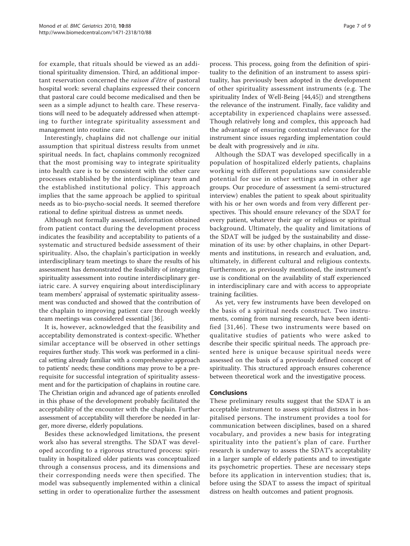for example, that rituals should be viewed as an additional spirituality dimension. Third, an additional important reservation concerned the raison d'être of pastoral hospital work: several chaplains expressed their concern that pastoral care could become medicalised and then be seen as a simple adjunct to health care. These reservations will need to be adequately addressed when attempting to further integrate spirituality assessment and management into routine care.

Interestingly, chaplains did not challenge our initial assumption that spiritual distress results from unmet spiritual needs. In fact, chaplains commonly recognized that the most promising way to integrate spirituality into health care is to be consistent with the other care processes established by the interdisciplinary team and the established institutional policy. This approach implies that the same approach be applied to spiritual needs as to bio-psycho-social needs. It seemed therefore rational to define spiritual distress as unmet needs.

Although not formally assessed, information obtained from patient contact during the development process indicates the feasibility and acceptability to patients of a systematic and structured bedside assessment of their spirituality. Also, the chaplain's participation in weekly interdisciplinary team meetings to share the results of his assessment has demonstrated the feasibility of integrating spirituality assessment into routine interdisciplinary geriatric care. A survey enquiring about interdisciplinary team members' appraisal of systematic spirituality assessment was conducted and showed that the contribution of the chaplain to improving patient care through weekly team meetings was considered essential [\[36\]](#page-8-0).

It is, however, acknowledged that the feasibility and acceptability demonstrated is context-specific. Whether similar acceptance will be observed in other settings requires further study. This work was performed in a clinical setting already familiar with a comprehensive approach to patients' needs; these conditions may prove to be a prerequisite for successful integration of spirituality assessment and for the participation of chaplains in routine care. The Christian origin and advanced age of patients enrolled in this phase of the development probably facilitated the acceptability of the encounter with the chaplain. Further assessment of acceptability will therefore be needed in larger, more diverse, elderly populations.

Besides these acknowledged limitations, the present work also has several strengths. The SDAT was developed according to a rigorous structured process: spirituality in hospitalized older patients was conceptualized through a consensus process, and its dimensions and their corresponding needs were then specified. The model was subsequently implemented within a clinical setting in order to operationalize further the assessment

process. This process, going from the definition of spirituality to the definition of an instrument to assess spirituality, has previously been adopted in the development of other spirituality assessment instruments (e.g. The spirituality Index of Well-Being [[44](#page-8-0),[45](#page-8-0)]) and strengthens the relevance of the instrument. Finally, face validity and acceptability in experienced chaplains were assessed. Though relatively long and complex, this approach had the advantage of ensuring contextual relevance for the instrument since issues regarding implementation could be dealt with progressively and in situ.

Although the SDAT was developed specifically in a population of hospitalized elderly patients, chaplains working with different populations saw considerable potential for use in other settings and in other age groups. Our procedure of assessment (a semi-structured interview) enables the patient to speak about spirituality with his or her own words and from very different perspectives. This should ensure relevancy of the SDAT for every patient, whatever their age or religious or spiritual background. Ultimately, the quality and limitations of the SDAT will be judged by the sustainability and dissemination of its use: by other chaplains, in other Departments and institutions, in research and evaluation, and, ultimately, in different cultural and religious contexts. Furthermore, as previously mentioned, the instrument's use is conditional on the availability of staff experienced in interdisciplinary care and with access to appropriate training facilities.

As yet, very few instruments have been developed on the basis of a spiritual needs construct. Two instruments, coming from nursing research, have been identified [[31](#page-8-0),[46](#page-8-0)]. These two instruments were based on qualitative studies of patients who were asked to describe their specific spiritual needs. The approach presented here is unique because spiritual needs were assessed on the basis of a previously defined concept of spirituality. This structured approach ensures coherence between theoretical work and the investigative process.

#### Conclusions

These preliminary results suggest that the SDAT is an acceptable instrument to assess spiritual distress in hospitalised persons. The instrument provides a tool for communication between disciplines, based on a shared vocabulary, and provides a new basis for integrating spirituality into the patient's plan of care. Further research is underway to assess the SDAT's acceptability in a larger sample of elderly patients and to investigate its psychometric properties. These are necessary steps before its application in intervention studies; that is, before using the SDAT to assess the impact of spiritual distress on health outcomes and patient prognosis.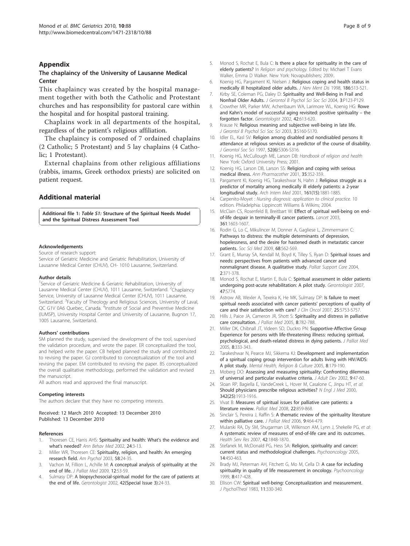#### <span id="page-7-0"></span>Appendix

#### The chaplaincy of the University of Lausanne Medical Center

This chaplaincy was created by the hospital management together with both the Catholic and Protestant churches and has responsibility for pastoral care within the hospital and for hospital pastoral training.

Chaplains work in all departments of the hospital, regardless of the patient's religious affiliation.

The chaplaincy is composed of 7 ordained chaplains (2 Catholic; 5 Protestant) and 5 lay chaplains (4 Catholic; 1 Protestant).

External chaplains from other religious affiliations (rabbis, imams, Greek orthodox priests) are solicited on patient request.

## Additional material

[Additional file 1:](http://www.biomedcentral.com/content/supplementary/1471-2318-10-88-S1.DOC) Table S1: Structure of the Spiritual Needs Model and the Spiritual Distress Assessment Tool.

#### Acknowledgements

Source of research support:

Service of Geriatric Medicine and Geriatric Rehabilitation, University of Lausanne Medical Center (CHUV), CH- 1010 Lausanne, Switzerland.

#### Author details

1 Service of Geriatric Medicine & Geriatric Rehabilitation, University of Lausanne Medical Center (CHUV), 1011 Lausanne, Switzerland. <sup>2</sup>Chaplaincy Service, University of Lausanne Medical Center (CHUV), 1011 Lausanne, Switzerland. <sup>3</sup>Faculty of Theology and Religious Sciences, University of Laval, QC G1V 0A6 Quebec, Canada. <sup>4</sup>Institute of Social and Preventive Medicine (IUMSP), University Hospital Center and University of Lausanne, Bugnon 17, 1005 Lausanne, Switzerland.

#### Authors' contributions

SM planned the study, supervised the development of the tool, supervised the validation procedure, and wrote the paper. ER conceptualized the tool, and helped write the paper. CB helped planned the study and contributed to revising the paper. GJ contributed to conceptualization of the tool and revising the paper. EM contributed to revising the paper. BS conceptualized the overall qualitative methodology, performed the validation and revised the manuscript.

All authors read and approved the final manuscript.

#### Competing interests

The authors declare that they have no competing interests.

Received: 12 March 2010 Accepted: 13 December 2010 Published: 13 December 2010

#### References

- Thoresen CE, Harris AHS: [Spirituality and health: What](http://www.ncbi.nlm.nih.gov/pubmed/12008792?dopt=Abstract)'s the evidence and what'[s needed?](http://www.ncbi.nlm.nih.gov/pubmed/12008792?dopt=Abstract) Ann Behav Med 2002, 24:3-13.
- 2. Miller WR, Thoresen CE: [Spirituality, religion, and health: An emerging](http://www.ncbi.nlm.nih.gov/pubmed/12674816?dopt=Abstract) [research field.](http://www.ncbi.nlm.nih.gov/pubmed/12674816?dopt=Abstract) Am Psychol 2003, 58:24-35.
- 3. Vachon M, Fillion L, Achille M: [A conceptual analysis of spirituality at the](http://www.ncbi.nlm.nih.gov/pubmed/19284263?dopt=Abstract) [end of life.](http://www.ncbi.nlm.nih.gov/pubmed/19284263?dopt=Abstract) J Palliat Med 2009, 12:53-59.
- Sulmasy DP: [A biopsychosocial-spiritual model for the care of patients at](http://www.ncbi.nlm.nih.gov/pubmed/12415130?dopt=Abstract) [the end of life.](http://www.ncbi.nlm.nih.gov/pubmed/12415130?dopt=Abstract) Gerontologist 2002, 42(Special Issue 3):24-33.
- 5. Monod S, Rochat E, Bula C: Is there a place for spirituality in the care of elderly patients? In Religion and psychology. Edited by: Michael T Evans Walker, Emma D Walker. New York: Novapublishers; 2009:.
- 6. Koenig HG, Pargament KI, Nielsen J: [Religious coping and health status in](http://www.ncbi.nlm.nih.gov/pubmed/9741556?dopt=Abstract) [medically ill hospitalized older adults.](http://www.ncbi.nlm.nih.gov/pubmed/9741556?dopt=Abstract) J Nerv Ment Dis 1998, 186:513-521.
- 7. Kirby SE, Coleman PG, Daley D: Spirituality and Well-Being in Frail and Nonfrail Older Adults. J Gerontol B Psychol Sci Soc Sci 2004, 3:P123-P129.
- 8. Crowther MR, Parker MW, Achenbaum WA, Larimore WL, Koenig HG: [Rowe](http://www.ncbi.nlm.nih.gov/pubmed/12351796?dopt=Abstract) and Kahn'[s model of successful aging revisited: positive spirituality](http://www.ncbi.nlm.nih.gov/pubmed/12351796?dopt=Abstract) – the [forgotten factor.](http://www.ncbi.nlm.nih.gov/pubmed/12351796?dopt=Abstract) Gerontologist 2002, 42:613-620.
- 9. Krause N: Religious meaning and subjective well-being in late life. J Gerontol B Psychol Sci Soc Sci 2003, 3:S160-S170.
- 10. Idler EL, Kasl SV: Religion among disabled and nondisabled persons II: attendance at religious services as a predictor of the course of disability. J Gerontol Soc Sci 1997, 52(6):S306-S316.
- 11. Koenig HG, McCullough ME, Larson DB: Handbook of religion and health New York: Oxford University Press; 2001.
- 12. Koenig HG, Larson DB, Larson SS: [Religion and coping with serious](http://www.ncbi.nlm.nih.gov/pubmed/11261534?dopt=Abstract) [medical illness.](http://www.ncbi.nlm.nih.gov/pubmed/11261534?dopt=Abstract) Ann Pharmacother 2001, 35:352-359.
- 13. Pargament KI, Koenig HG, Tarakeshwar N, Hahn J: [Religious struggle as a](http://www.ncbi.nlm.nih.gov/pubmed/11493130?dopt=Abstract) [predictor of mortality among medically ill elderly patients: a 2-year](http://www.ncbi.nlm.nih.gov/pubmed/11493130?dopt=Abstract) [longitudinal study.](http://www.ncbi.nlm.nih.gov/pubmed/11493130?dopt=Abstract) Arch Intern Med 2001, 161(15):1881-1885.
- 14. Carpenito-Moyet : Nursing diagnosis: application to clinical practice. 10 edition. Philadelphia: Lippincott Williams & Wilkins; 2004.
- 15. McClain CS, Rosenfeld B, Breitbart W: [Effect of spiritual well-being on end](http://www.ncbi.nlm.nih.gov/pubmed/12747880?dopt=Abstract)[of-life despair in terminally-ill cancer patients.](http://www.ncbi.nlm.nih.gov/pubmed/12747880?dopt=Abstract) Lancet 2003, 361:1603-1607.
- 16. Rodin G, Lo C, Mikulincer M, Donner A, Gagliese L, Zimmermann C: [Pathways to distress: the multiple determinants of depression,](http://www.ncbi.nlm.nih.gov/pubmed/19059687?dopt=Abstract) [hopelessness, and the desire for hastened death in metastatic cancer](http://www.ncbi.nlm.nih.gov/pubmed/19059687?dopt=Abstract) [patients.](http://www.ncbi.nlm.nih.gov/pubmed/19059687?dopt=Abstract) Soc Sci Med 2009, 68:562-569.
- 17. Grant E, Murray SA, Kendall M, Boyd K, Tilley S, Ryan D: [Spiritual issues and](http://www.ncbi.nlm.nih.gov/pubmed/16594399?dopt=Abstract) [needs: perspectives from patients with advanced cancer and](http://www.ncbi.nlm.nih.gov/pubmed/16594399?dopt=Abstract) [nonmalignant disease. A qualitative study.](http://www.ncbi.nlm.nih.gov/pubmed/16594399?dopt=Abstract) Palliat Support Care 2004, 2:371-378.
- 18. Monod S, Rochat E, Martin E, Bula C: Spiritual assessment in older patients undergoing post-acute rehabilitation: A pilot study. Gerontologist 2007, 47:S774.
- 19. Astrow AB, Wexler A, Texeira K, He MK, Sulmasy DP: [Is failure to meet](http://www.ncbi.nlm.nih.gov/pubmed/18089871?dopt=Abstract) [spiritual needs associated with cancer patients](http://www.ncbi.nlm.nih.gov/pubmed/18089871?dopt=Abstract)' perceptions of quality of [care and their satisfaction with care?](http://www.ncbi.nlm.nih.gov/pubmed/18089871?dopt=Abstract) J Clin Oncol 2007, 25:5753-5757
- 20. Hills J, Paice JA, Cameron JR, Shott S: [Spirituality and distress in palliative](http://www.ncbi.nlm.nih.gov/pubmed/16128652?dopt=Abstract) [care consultation.](http://www.ncbi.nlm.nih.gov/pubmed/16128652?dopt=Abstract) J Palliat Med 2005, 8:782-788.
- 21. Miller DK, Chibnall JT, Videen SD, Duckro PN: [Supportive-Affective Group](http://www.ncbi.nlm.nih.gov/pubmed/15890044?dopt=Abstract) [Experience for persons with life-threatening illness: reducing spiritual,](http://www.ncbi.nlm.nih.gov/pubmed/15890044?dopt=Abstract) [psychological, and death-related distress in dying patients.](http://www.ncbi.nlm.nih.gov/pubmed/15890044?dopt=Abstract) J Palliat Med 2005, 8:333-343.
- 22. Tarakeshwar N, Pearce MJ, Sikkema KJ: Development and implementation of a spiritual coping group intervention for adults living with HIV/AIDS: A pilot study. Mental Health, Religion & Culture 2005, 8:179-190.
- 23. Moberg DO: Assessing and measuring spirituality: Confronting dilemmas of universal and particular evaluative criteria. J Adult Dev 2002, 9:47-60.
- 24. Sloan RP, Bagiella E, VandeCreek L, Hover M, Casalone C, Jinpu HT, et al: [Should physicians prescribe religious activities?](http://www.ncbi.nlm.nih.gov/pubmed/10861331?dopt=Abstract) N Engl J Med 2000, 342(25):1913-1916.
- 25. Vivat B: [Measures of spiritual issues for palliative care patients: a](http://www.ncbi.nlm.nih.gov/pubmed/18755826?dopt=Abstract) [literature review.](http://www.ncbi.nlm.nih.gov/pubmed/18755826?dopt=Abstract) Palliat Med 2008, 22:859-868.
- 26. Sinclair S, Pereira J, Raffin S: [A thematic review of the spirituality literature](http://www.ncbi.nlm.nih.gov/pubmed/16629575?dopt=Abstract) [within palliative care.](http://www.ncbi.nlm.nih.gov/pubmed/16629575?dopt=Abstract) J Palliat Med 2006, 9:464-479.
- 27. Mularski RA, Dy SM, Shugarman LR, Wilkinson AM, Lynn J, Shekelle PG, et al: [A systematic review of measures of end-of-life care and its outcomes.](http://www.ncbi.nlm.nih.gov/pubmed/17850523?dopt=Abstract) Health Serv Res 2007, 42:1848-1870.
- 28. Stefanek M, McDonald PG, Hess SA: [Religion, spirituality and cancer:](http://www.ncbi.nlm.nih.gov/pubmed/15376283?dopt=Abstract) [current status and methodological challenges.](http://www.ncbi.nlm.nih.gov/pubmed/15376283?dopt=Abstract) Psychooncology 2005, 14:450-463.
- 29. Brady MJ, Peterman AH, Fitchett G, Mo M, Cella D: [A case for including](http://www.ncbi.nlm.nih.gov/pubmed/10559801?dopt=Abstract) [spirituality in quality of life measurement in oncology.](http://www.ncbi.nlm.nih.gov/pubmed/10559801?dopt=Abstract) Psychooncology 1999, 8:417-428.
- 30. Ellison CW: Spiritual well-being: Conceptualization and measurement. J PsycholTheol 1983, 11:330-340.